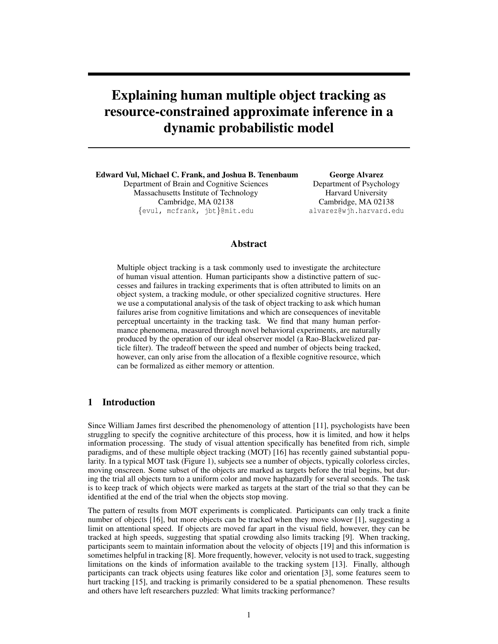# Explaining human multiple object tracking as resource-constrained approximate inference in a dynamic probabilistic model

Edward Vul, Michael C. Frank, and Joshua B. Tenenbaum Department of Brain and Cognitive Sciences Massachusetts Institute of Technology Cambridge, MA 02138 {evul, mcfrank, jbt}@mit.edu

George Alvarez Department of Psychology Harvard University Cambridge, MA 02138 alvarez@wjh.harvard.edu

# Abstract

Multiple object tracking is a task commonly used to investigate the architecture of human visual attention. Human participants show a distinctive pattern of successes and failures in tracking experiments that is often attributed to limits on an object system, a tracking module, or other specialized cognitive structures. Here we use a computational analysis of the task of object tracking to ask which human failures arise from cognitive limitations and which are consequences of inevitable perceptual uncertainty in the tracking task. We find that many human performance phenomena, measured through novel behavioral experiments, are naturally produced by the operation of our ideal observer model (a Rao-Blackwelized particle filter). The tradeoff between the speed and number of objects being tracked, however, can only arise from the allocation of a flexible cognitive resource, which can be formalized as either memory or attention.

## 1 Introduction

Since William James first described the phenomenology of attention [11], psychologists have been struggling to specify the cognitive architecture of this process, how it is limited, and how it helps information processing. The study of visual attention specifically has benefited from rich, simple paradigms, and of these multiple object tracking (MOT) [16] has recently gained substantial popularity. In a typical MOT task (Figure 1), subjects see a number of objects, typically colorless circles, moving onscreen. Some subset of the objects are marked as targets before the trial begins, but during the trial all objects turn to a uniform color and move haphazardly for several seconds. The task is to keep track of which objects were marked as targets at the start of the trial so that they can be identified at the end of the trial when the objects stop moving.

The pattern of results from MOT experiments is complicated. Participants can only track a finite number of objects [16], but more objects can be tracked when they move slower [1], suggesting a limit on attentional speed. If objects are moved far apart in the visual field, however, they can be tracked at high speeds, suggesting that spatial crowding also limits tracking [9]. When tracking, participants seem to maintain information about the velocity of objects [19] and this information is sometimes helpful in tracking [8]. More frequently, however, velocity is not used to track, suggesting limitations on the kinds of information available to the tracking system [13]. Finally, although participants can track objects using features like color and orientation [3], some features seem to hurt tracking [15], and tracking is primarily considered to be a spatial phenomenon. These results and others have left researchers puzzled: What limits tracking performance?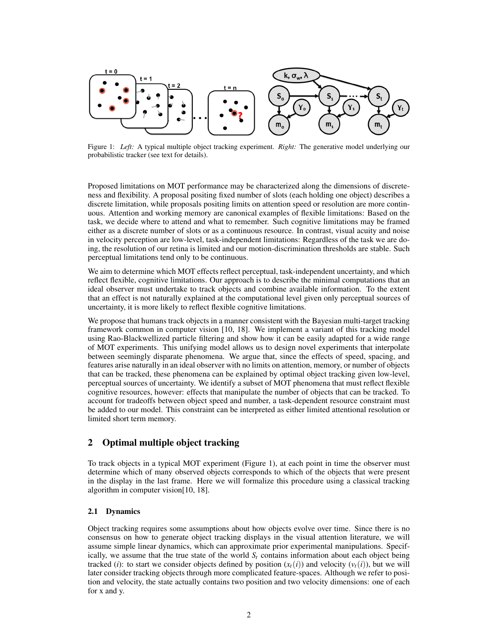

Figure 1: *Left:* A typical multiple object tracking experiment. *Right:* The generative model underlying our probabilistic tracker (see text for details).

Proposed limitations on MOT performance may be characterized along the dimensions of discreteness and flexibility. A proposal positing fixed number of slots (each holding one object) describes a discrete limitation, while proposals positing limits on attention speed or resolution are more continuous. Attention and working memory are canonical examples of flexible limitations: Based on the task, we decide where to attend and what to remember. Such cognitive limitations may be framed either as a discrete number of slots or as a continuous resource. In contrast, visual acuity and noise in velocity perception are low-level, task-independent limitations: Regardless of the task we are doing, the resolution of our retina is limited and our motion-discrimination thresholds are stable. Such perceptual limitations tend only to be continuous.

We aim to determine which MOT effects reflect perceptual, task-independent uncertainty, and which reflect flexible, cognitive limitations. Our approach is to describe the minimal computations that an ideal observer must undertake to track objects and combine available information. To the extent that an effect is not naturally explained at the computational level given only perceptual sources of uncertainty, it is more likely to reflect flexible cognitive limitations.

We propose that humans track objects in a manner consistent with the Bayesian multi-target tracking framework common in computer vision [10, 18]. We implement a variant of this tracking model using Rao-Blackwellized particle filtering and show how it can be easily adapted for a wide range of MOT experiments. This unifying model allows us to design novel experiments that interpolate between seemingly disparate phenomena. We argue that, since the effects of speed, spacing, and features arise naturally in an ideal observer with no limits on attention, memory, or number of objects that can be tracked, these phenomena can be explained by optimal object tracking given low-level, perceptual sources of uncertainty. We identify a subset of MOT phenomena that must reflect flexible cognitive resources, however: effects that manipulate the number of objects that can be tracked. To account for tradeoffs between object speed and number, a task-dependent resource constraint must be added to our model. This constraint can be interpreted as either limited attentional resolution or limited short term memory.

## 2 Optimal multiple object tracking

To track objects in a typical MOT experiment (Figure 1), at each point in time the observer must determine which of many observed objects corresponds to which of the objects that were present in the display in the last frame. Here we will formalize this procedure using a classical tracking algorithm in computer vision[10, 18].

## 2.1 Dynamics

Object tracking requires some assumptions about how objects evolve over time. Since there is no consensus on how to generate object tracking displays in the visual attention literature, we will assume simple linear dynamics, which can approximate prior experimental manipulations. Specifically, we assume that the true state of the world  $S_t$  contains information about each object being tracked (*i*): to start we consider objects defined by position  $(x_t(i))$  and velocity  $(v_t(i))$ , but we will later consider tracking objects through more complicated feature-spaces. Although we refer to position and velocity, the state actually contains two position and two velocity dimensions: one of each for x and y.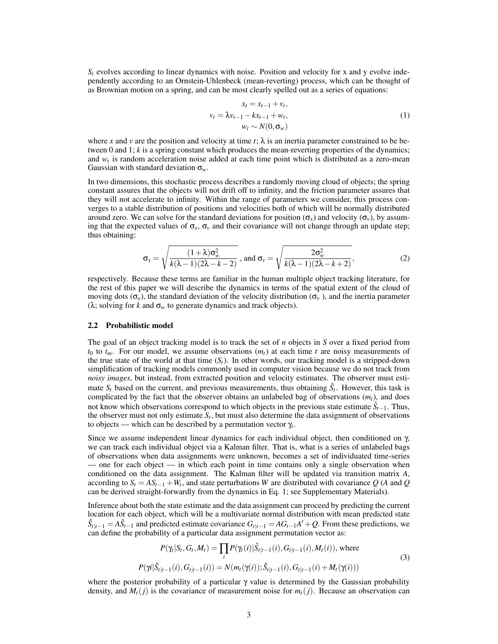$S_t$  evolves according to linear dynamics with noise. Position and velocity for x and y evolve independently according to an Ornstein-Uhlenbeck (mean-reverting) process, which can be thought of as Brownian motion on a spring, and can be most clearly spelled out as a series of equations:

$$
x_t = x_{t-1} + v_t,
$$
  
\n
$$
v_t = \lambda v_{t-1} - kx_{t-1} + w_t,
$$
  
\n
$$
w_t \sim N(0, \sigma_w)
$$
\n(1)

where x and v are the position and velocity at time  $t$ ;  $\lambda$  is an inertia parameter constrained to be between 0 and 1; *k* is a spring constant which produces the mean-reverting properties of the dynamics; and *w<sup>t</sup>* is random acceleration noise added at each time point which is distributed as a zero-mean Gaussian with standard deviation σ*w*.

In two dimensions, this stochastic process describes a randomly moving cloud of objects; the spring constant assures that the objects will not drift off to infinity, and the friction parameter assures that they will not accelerate to infinity. Within the range of parameters we consider, this process converges to a stable distribution of positions and velocities both of which will be normally distributed around zero. We can solve for the standard deviations for position  $(\sigma_x)$  and velocity  $(\sigma_y)$ , by assuming that the expected values of  $\sigma_x$ ,  $\sigma_y$  and their covariance will not change through an update step; thus obtaining:

$$
\sigma_x = \sqrt{\frac{(1+\lambda)\sigma_w^2}{k(\lambda-1)(2\lambda-k-2)}}\text{, and }\sigma_v = \sqrt{\frac{2\sigma_w^2}{k(\lambda-1)(2\lambda-k+2)}},\tag{2}
$$

respectively. Because these terms are familiar in the human multiple object tracking literature, for the rest of this paper we will describe the dynamics in terms of the spatial extent of the cloud of moving dots (σ<sub>*x*</sub>), the standard deviation of the velocity distribution (σ<sub>*v*</sub>), and the inertia parameter ( $\lambda$ ; solving for *k* and  $\sigma_w$  to generate dynamics and track objects).

#### 2.2 Probabilistic model

The goal of an object tracking model is to track the set of *n* objects in *S* over a fixed period from  $t_0$  to  $t_m$ . For our model, we assume observations  $(m_t)$  at each time *t* are noisy measurements of the true state of the world at that time  $(S_t)$ . In other words, our tracking model is a stripped-down simplification of tracking models commonly used in computer vision because we do not track from *noisy images*, but instead, from extracted position and velocity estimates. The observer must estimate  $S_t$  based on the current, and previous measurements, thus obtaining  $\hat{S}_t$ . However, this task is complicated by the fact that the observer obtains an unlabeled bag of observations (*mt*), and does not know which observations correspond to which objects in the previous state estimate *S*ˆ *<sup>t</sup>*−1. Thus, the observer must not only estimate  $S_t$ , but must also determine the data assignment of observations to objects — which can be described by a permutation vector γ*<sup>t</sup>* .

Since we assume independent linear dynamics for each individual object, then conditioned on  $\gamma$ , we can track each individual object via a Kalman filter. That is, what is a series of unlabeled bags of observations when data assignments were unknown, becomes a set of individuated time-series — one for each object — in which each point in time contains only a single observation when conditioned on the data assignment. The Kalman filter will be updated via transition matrix *A*, according to  $S_t = AS_{t-1} + W_t$ , and state perturbations *W* are distributed with covariance  $Q$  (*A* and  $Q$ can be derived straight-forwardly from the dynamics in Eq. 1; see Supplementary Materials).

Inference about both the state estimate and the data assignment can proceed by predicting the current location for each object, which will be a multivariate normal distribution with mean predicted state  $\hat{S}_{t|t-1} = A\hat{S}_{t-1}$  and predicted estimate covariance  $G_{t|t-1} = AG_{t-1}A' + Q$ . From these predictions, we can define the probability of a particular data assignment permutation vector as:

$$
P(\gamma_t|S_t, G_t, M_t) = \prod_i P(\gamma_t(i)|\hat{S}_{t|t-1}(i), G_{t|t-1}(i), M_t(i)), \text{ where}
$$
  
\n
$$
P(\gamma i|\hat{S}_{t|t-1}(i), G_{t|t-1}(i)) = N(m_t(\gamma(i)); \hat{S}_{t|t-1}(i), G_{t|t-1}(i) + M_t(\gamma(i)))
$$
\n(3)

where the posterior probability of a particular  $\gamma$  value is determined by the Gaussian probability density, and  $M_t(j)$  is the covariance of measurement noise for  $m_t(j)$ . Because an observation can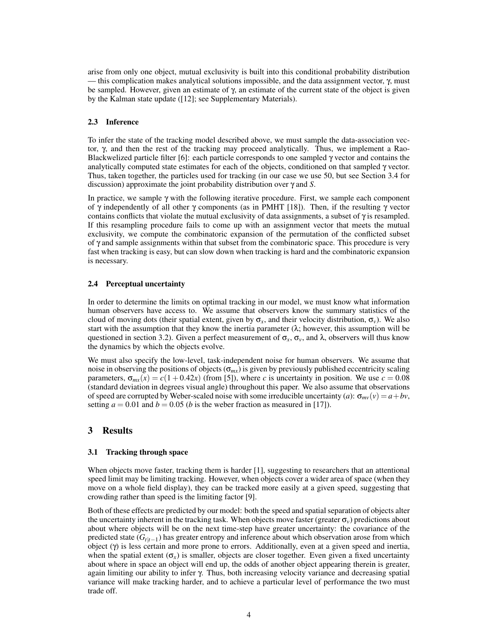arise from only one object, mutual exclusivity is built into this conditional probability distribution — this complication makes analytical solutions impossible, and the data assignment vector,  $\gamma$ , must be sampled. However, given an estimate of γ, an estimate of the current state of the object is given by the Kalman state update ([12]; see Supplementary Materials).

## 2.3 Inference

To infer the state of the tracking model described above, we must sample the data-association vector, γ, and then the rest of the tracking may proceed analytically. Thus, we implement a Rao-Blackwelized particle filter [6]: each particle corresponds to one sampled  $\gamma$  vector and contains the analytically computed state estimates for each of the objects, conditioned on that sampled γ vector. Thus, taken together, the particles used for tracking (in our case we use 50, but see Section 3.4 for discussion) approximate the joint probability distribution over γ and *S*.

In practice, we sample  $\gamma$  with the following iterative procedure. First, we sample each component of γ independently of all other γ components (as in PMHT [18]). Then, if the resulting γ vector contains conflicts that violate the mutual exclusivity of data assignments, a subset of  $\gamma$  is resampled. If this resampling procedure fails to come up with an assignment vector that meets the mutual exclusivity, we compute the combinatoric expansion of the permutation of the conflicted subset of γ and sample assignments within that subset from the combinatoric space. This procedure is very fast when tracking is easy, but can slow down when tracking is hard and the combinatoric expansion is necessary.

## 2.4 Perceptual uncertainty

In order to determine the limits on optimal tracking in our model, we must know what information human observers have access to. We assume that observers know the summary statistics of the cloud of moving dots (their spatial extent, given by  $\sigma_x$ , and their velocity distribution,  $\sigma_y$ ). We also start with the assumption that they know the inertia parameter  $(\lambda;)$  however, this assumption will be questioned in section 3.2). Given a perfect measurement of  $\sigma_x$ ,  $\sigma_y$ , and  $\lambda$ , observers will thus know the dynamics by which the objects evolve.

We must also specify the low-level, task-independent noise for human observers. We assume that noise in observing the positions of objects ( $\sigma_{mx}$ ) is given by previously published eccentricity scaling parameters,  $\sigma_{mx}(x) = c(1+0.42x)$  (from [5]), where *c* is uncertainty in position. We use  $c = 0.08$ (standard deviation in degrees visual angle) throughout this paper. We also assume that observations of speed are corrupted by Weber-scaled noise with some irreducible uncertainty (*a*):  $\sigma_{mv}(v) = a + bv$ , setting  $a = 0.01$  and  $b = 0.05$  (*b* is the weber fraction as measured in [17]).

## 3 Results

#### 3.1 Tracking through space

When objects move faster, tracking them is harder [1], suggesting to researchers that an attentional speed limit may be limiting tracking. However, when objects cover a wider area of space (when they move on a whole field display), they can be tracked more easily at a given speed, suggesting that crowding rather than speed is the limiting factor [9].

Both of these effects are predicted by our model: both the speed and spatial separation of objects alter the uncertainty inherent in the tracking task. When objects move faster (greater  $\sigma_v$ ) predictions about about where objects will be on the next time-step have greater uncertainty: the covariance of the predicted state (*Gt*|*t*−<sup>1</sup> ) has greater entropy and inference about which observation arose from which object (γ) is less certain and more prone to errors. Additionally, even at a given speed and inertia, when the spatial extent  $(\sigma_x)$  is smaller, objects are closer together. Even given a fixed uncertainty about where in space an object will end up, the odds of another object appearing therein is greater, again limiting our ability to infer γ. Thus, both increasing velocity variance and decreasing spatial variance will make tracking harder, and to achieve a particular level of performance the two must trade off.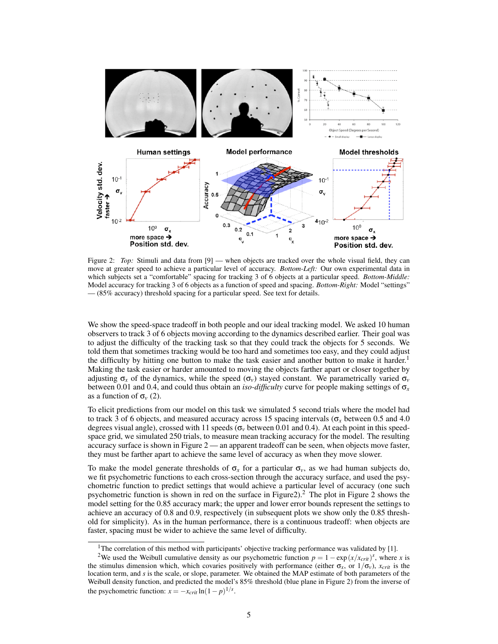

Figure 2: *Top:* Stimuli and data from [9] — when objects are tracked over the whole visual field, they can move at greater speed to achieve a particular level of accuracy. *Bottom-Left:* Our own experimental data in which subjects set a "comfortable" spacing for tracking 3 of 6 objects at a particular speed. *Bottom-Middle:* Model accuracy for tracking 3 of 6 objects as a function of speed and spacing. *Bottom-Right:* Model "settings" — (85% accuracy) threshold spacing for a particular speed. See text for details.

We show the speed-space tradeoff in both people and our ideal tracking model. We asked 10 human observers to track 3 of 6 objects moving according to the dynamics described earlier. Their goal was to adjust the difficulty of the tracking task so that they could track the objects for 5 seconds. We told them that sometimes tracking would be too hard and sometimes too easy, and they could adjust the difficulty by hitting one button to make the task easier and another button to make it harder.<sup>1</sup> Making the task easier or harder amounted to moving the objects farther apart or closer together by adjusting  $\sigma_x$  of the dynamics, while the speed  $(\sigma_y)$  stayed constant. We parametrically varied  $\sigma_y$ between 0.01 and 0.4, and could thus obtain an *iso-difficulty* curve for people making settings of σ*<sup>x</sup>* as a function of  $\sigma_v$  (2).

To elicit predictions from our model on this task we simulated 5 second trials where the model had to track 3 of 6 objects, and measured accuracy across 15 spacing intervals ( $\sigma_x$  between 0.5 and 4.0 degrees visual angle), crossed with 11 speeds (σ*<sup>v</sup>* between 0.01 and 0.4). At each point in this speedspace grid, we simulated 250 trials, to measure mean tracking accuracy for the model. The resulting accuracy surface is shown in Figure 2 — an apparent tradeoff can be seen, when objects move faster, they must be farther apart to achieve the same level of accuracy as when they move slower.

To make the model generate thresholds of  $\sigma_x$  for a particular  $\sigma_y$ , as we had human subjects do, we fit psychometric functions to each cross-section through the accuracy surface, and used the psychometric function to predict settings that would achieve a particular level of accuracy (one such psychometric function is shown in red on the surface in Figure  $2$ . The plot in Figure 2 shows the model setting for the 0.85 accuracy mark; the upper and lower error bounds represent the settings to achieve an accuracy of 0.8 and 0.9, respectively (in subsequent plots we show only the 0.85 threshold for simplicity). As in the human performance, there is a continuous tradeoff: when objects are faster, spacing must be wider to achieve the same level of difficulty.

<sup>&</sup>lt;sup>1</sup>The correlation of this method with participants' objective tracking performance was validated by [1].

<sup>&</sup>lt;sup>2</sup>We used the Weibull cumulative density as our psychometric function  $p = 1 - \exp(x/x_{crit})^s$ , where *x* is the stimulus dimension which, which covaries positively with performance (either  $\sigma_x$ , or  $1/\sigma_y$ ),  $x_{crit}$  is the location term, and *s* is the scale, or slope, parameter. We obtained the MAP estimate of both parameters of the Weibull density function, and predicted the model's 85% threshold (blue plane in Figure 2) from the inverse of the psychometric function:  $x = -x_{crit} \ln(1-p)^{1/s}$ .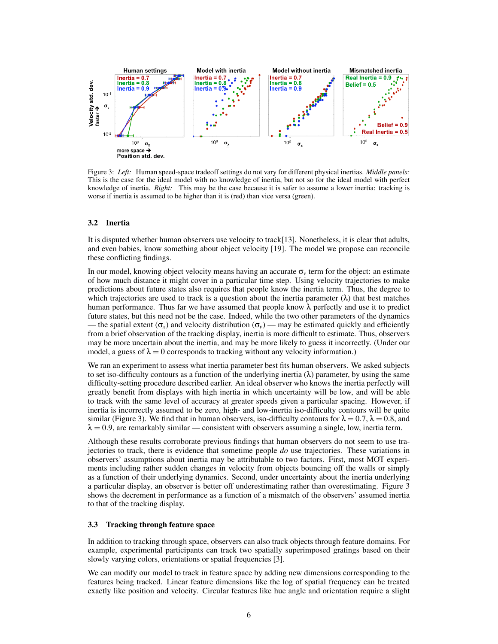

Figure 3: *Left:* Human speed-space tradeoff settings do not vary for different physical inertias. *Middle panels:* This is the case for the ideal model with no knowledge of inertia, but not so for the ideal model with perfect knowledge of inertia. *Right:* This may be the case because it is safer to assume a lower inertia: tracking is worse if inertia is assumed to be higher than it is (red) than vice versa (green).

#### 3.2 Inertia

It is disputed whether human observers use velocity to track[13]. Nonetheless, it is clear that adults, and even babies, know something about object velocity [19]. The model we propose can reconcile these conflicting findings.

In our model, knowing object velocity means having an accurate  $\sigma_v$  term for the object: an estimate of how much distance it might cover in a particular time step. Using velocity trajectories to make predictions about future states also requires that people know the inertia term. Thus, the degree to which trajectories are used to track is a question about the inertia parameter  $(\lambda)$  that best matches human performance. Thus far we have assumed that people know  $\lambda$  perfectly and use it to predict future states, but this need not be the case. Indeed, while the two other parameters of the dynamics — the spatial extent  $(\sigma_x)$  and velocity distribution  $(\sigma_y)$  — may be estimated quickly and efficiently from a brief observation of the tracking display, inertia is more difficult to estimate. Thus, observers may be more uncertain about the inertia, and may be more likely to guess it incorrectly. (Under our model, a guess of  $\lambda = 0$  corresponds to tracking without any velocity information.)

We ran an experiment to assess what inertia parameter best fits human observers. We asked subjects to set iso-difficulty contours as a function of the underlying inertia  $(\lambda)$  parameter, by using the same difficulty-setting procedure described earlier. An ideal observer who knows the inertia perfectly will greatly benefit from displays with high inertia in which uncertainty will be low, and will be able to track with the same level of accuracy at greater speeds given a particular spacing. However, if inertia is incorrectly assumed to be zero, high- and low-inertia iso-difficulty contours will be quite similar (Figure 3). We find that in human observers, iso-difficulty contours for  $\lambda = 0.7$ ,  $\lambda = 0.8$ , and  $\lambda = 0.9$ , are remarkably similar — consistent with observers assuming a single, low, inertia term.

Although these results corroborate previous findings that human observers do not seem to use trajectories to track, there is evidence that sometime people *do* use trajectories. These variations in observers' assumptions about inertia may be attributable to two factors. First, most MOT experiments including rather sudden changes in velocity from objects bouncing off the walls or simply as a function of their underlying dynamics. Second, under uncertainty about the inertia underlying a particular display, an observer is better off underestimating rather than overestimating. Figure 3 shows the decrement in performance as a function of a mismatch of the observers' assumed inertia to that of the tracking display.

## 3.3 Tracking through feature space

In addition to tracking through space, observers can also track objects through feature domains. For example, experimental participants can track two spatially superimposed gratings based on their slowly varying colors, orientations or spatial frequencies [3].

We can modify our model to track in feature space by adding new dimensions corresponding to the features being tracked. Linear feature dimensions like the log of spatial frequency can be treated exactly like position and velocity. Circular features like hue angle and orientation require a slight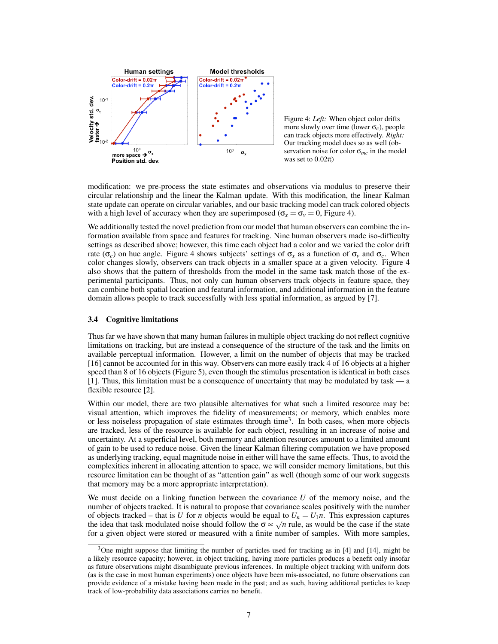

Figure 4: *Left:* When object color drifts more slowly over time (lower σ*c*), people can track objects more effectively. *Right:* Our tracking model does so as well (observation noise for color σ*mc* in the model was set to  $0.02\pi$ )

modification: we pre-process the state estimates and observations via modulus to preserve their circular relationship and the linear the Kalman update. With this modification, the linear Kalman state update can operate on circular variables, and our basic tracking model can track colored objects with a high level of accuracy when they are superimposed ( $\sigma_x = \sigma_y = 0$ , Figure 4).

We additionally tested the novel prediction from our model that human observers can combine the information available from space and features for tracking. Nine human observers made iso-difficulty settings as described above; however, this time each object had a color and we varied the color drift rate ( $\sigma_c$ ) on hue angle. Figure 4 shows subjects' settings of  $\sigma_x$  as a function of  $\sigma_y$  and  $\sigma_c$ . When color changes slowly, observers can track objects in a smaller space at a given velocity. Figure 4 also shows that the pattern of thresholds from the model in the same task match those of the experimental participants. Thus, not only can human observers track objects in feature space, they can combine both spatial location and featural information, and additional information in the feature domain allows people to track successfully with less spatial information, as argued by [7].

#### 3.4 Cognitive limitations

Thus far we have shown that many human failures in multiple object tracking do not reflect cognitive limitations on tracking, but are instead a consequence of the structure of the task and the limits on available perceptual information. However, a limit on the number of objects that may be tracked [16] cannot be accounted for in this way. Observers can more easily track 4 of 16 objects at a higher speed than 8 of 16 objects (Figure 5), even though the stimulus presentation is identical in both cases [1]. Thus, this limitation must be a consequence of uncertainty that may be modulated by task — a flexible resource [2].

Within our model, there are two plausible alternatives for what such a limited resource may be: visual attention, which improves the fidelity of measurements; or memory, which enables more or less noiseless propagation of state estimates through time<sup>3</sup>. In both cases, when more objects are tracked, less of the resource is available for each object, resulting in an increase of noise and uncertainty. At a superficial level, both memory and attention resources amount to a limited amount of gain to be used to reduce noise. Given the linear Kalman filtering computation we have proposed as underlying tracking, equal magnitude noise in either will have the same effects. Thus, to avoid the complexities inherent in allocating attention to space, we will consider memory limitations, but this resource limitation can be thought of as "attention gain" as well (though some of our work suggests that memory may be a more appropriate interpretation).

We must decide on a linking function between the covariance *U* of the memory noise, and the number of objects tracked. It is natural to propose that covariance scales positively with the number of objects tracked – that is *U* for *n* objects would be equal to  $U_n = U_1 n$ . This expression captures the idea that task modulated noise should follow the σ ∝  $\sqrt{n}$  rule, as would be the case if the state the state for a given object were stored or measured with a finite number of samples. With more samples,

<sup>&</sup>lt;sup>3</sup>One might suppose that limiting the number of particles used for tracking as in [4] and [14], might be a likely resource capacity; however, in object tracking, having more particles produces a benefit only insofar as future observations might disambiguate previous inferences. In multiple object tracking with uniform dots (as is the case in most human experiments) once objects have been mis-associated, no future observations can provide evidence of a mistake having been made in the past; and as such, having additional particles to keep track of low-probability data associations carries no benefit.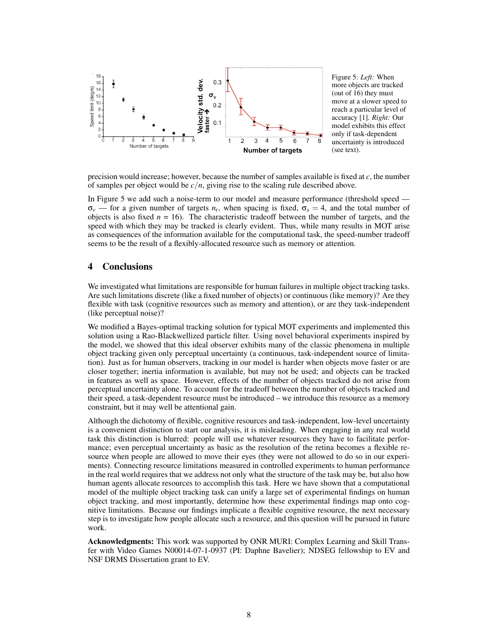

Figure 5: *Left:* When more objects are tracked (out of 16) they must move at a slower speed to reach a particular level of accuracy [1]. *Right:* Our model exhibits this effect only if task-dependent uncertainty is introduced (see text).

precision would increase; however, because the number of samples available is fixed at *c*, the number of samples per object would be *c*/*n*, giving rise to the scaling rule described above.

In Figure 5 we add such a noise-term to our model and measure performance (threshold speed —  $\sigma_v$  — for a given number of targets  $n_t$ , when spacing is fixed,  $\sigma_x = 4$ , and the total number of objects is also fixed  $n = 16$ ). The characteristic tradeoff between the number of targets, and the speed with which they may be tracked is clearly evident. Thus, while many results in MOT arise as consequences of the information available for the computational task, the speed-number tradeoff seems to be the result of a flexibly-allocated resource such as memory or attention.

## 4 Conclusions

We investigated what limitations are responsible for human failures in multiple object tracking tasks. Are such limitations discrete (like a fixed number of objects) or continuous (like memory)? Are they flexible with task (cognitive resources such as memory and attention), or are they task-independent (like perceptual noise)?

We modified a Bayes-optimal tracking solution for typical MOT experiments and implemented this solution using a Rao-Blackwellized particle filter. Using novel behavioral experiments inspired by the model, we showed that this ideal observer exhibits many of the classic phenomena in multiple object tracking given only perceptual uncertainty (a continuous, task-independent source of limitation). Just as for human observers, tracking in our model is harder when objects move faster or are closer together; inertia information is available, but may not be used; and objects can be tracked in features as well as space. However, effects of the number of objects tracked do not arise from perceptual uncertainty alone. To account for the tradeoff between the number of objects tracked and their speed, a task-dependent resource must be introduced – we introduce this resource as a memory constraint, but it may well be attentional gain.

Although the dichotomy of flexible, cognitive resources and task-independent, low-level uncertainty is a convenient distinction to start our analysis, it is misleading. When engaging in any real world task this distinction is blurred: people will use whatever resources they have to facilitate performance; even perceptual uncertainty as basic as the resolution of the retina becomes a flexible resource when people are allowed to move their eyes (they were not allowed to do so in our experiments). Connecting resource limitations measured in controlled experiments to human performance in the real world requires that we address not only what the structure of the task may be, but also how human agents allocate resources to accomplish this task. Here we have shown that a computational model of the multiple object tracking task can unify a large set of experimental findings on human object tracking, and most importantly, determine how these experimental findings map onto cognitive limitations. Because our findings implicate a flexible cognitive resource, the next necessary step is to investigate how people allocate such a resource, and this question will be pursued in future work.

Acknowledgments: This work was supported by ONR MURI: Complex Learning and Skill Transfer with Video Games N00014-07-1-0937 (PI: Daphne Bavelier); NDSEG fellowship to EV and NSF DRMS Dissertation grant to EV.